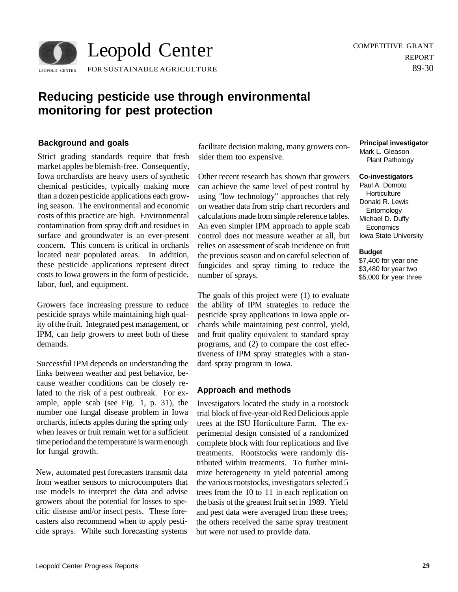

# **Reducing pesticide use through environmental monitoring for pest protection**

## **Background and goals**

Strict grading standards require that fresh market apples be blemish-free. Consequently, Iowa orchardists are heavy users of synthetic chemical pesticides, typically making more than a dozen pesticide applications each growing season. The environmental and economic costs of this practice are high. Environmental contamination from spray drift and residues in surface and groundwater is an ever-present concern. This concern is critical in orchards located near populated areas. In addition, these pesticide applications represent direct costs to Iowa growers in the form of pesticide, labor, fuel, and equipment.

Growers face increasing pressure to reduce pesticide sprays while maintaining high quality of the fruit. Integrated pest management, or IPM, can help growers to meet both of these demands.

Successful IPM depends on understanding the links between weather and pest behavior, because weather conditions can be closely related to the risk of a pest outbreak. For example, apple scab (see Fig. 1, p. 31), the number one fungal disease problem in Iowa orchards, infects apples during the spring only when leaves or fruit remain wet for a sufficient time period and the temperature is warm enough for fungal growth.

New, automated pest forecasters transmit data from weather sensors to microcomputers that use models to interpret the data and advise growers about the potential for losses to specific disease and/or insect pests. These forecasters also recommend when to apply pesticide sprays. While such forecasting systems

facilitate decision making, many growers consider them too expensive.

Other recent research has shown that growers can achieve the same level of pest control by using "low technology" approaches that rely on weather data from strip chart recorders and calculations made from simple reference tables. An even simpler IPM approach to apple scab control does not measure weather at all, but relies on assessment of scab incidence on fruit the previous season and on careful selection of fungicides and spray timing to reduce the number of sprays.

The goals of this project were (1) to evaluate the ability of IPM strategies to reduce the pesticide spray applications in Iowa apple orchards while maintaining pest control, yield, and fruit quality equivalent to standard spray programs, and (2) to compare the cost effectiveness of IPM spray strategies with a standard spray program in Iowa.

# **Approach and methods**

Investigators located the study in a rootstock trial block of five-year-old Red Delicious apple trees at the ISU Horticulture Farm. The experimental design consisted of a randomized complete block with four replications and five treatments. Rootstocks were randomly distributed within treatments. To further minimize heterogeneity in yield potential among the various rootstocks, investigators selected 5 trees from the 10 to 11 in each replication on the basis of the greatest fruit set in 1989. Yield and pest data were averaged from these trees; the others received the same spray treatment but were not used to provide data.

## **Principal investigator**

Mark L. Gleason Plant Pathology

#### **Co-investigators**

Paul A. Domoto **Horticulture** Donald R. Lewis Entomology Michael D. Duffy **Economics** Iowa State University

### **Budget**

\$7,400 for year one \$3,480 for year two \$5,000 for year three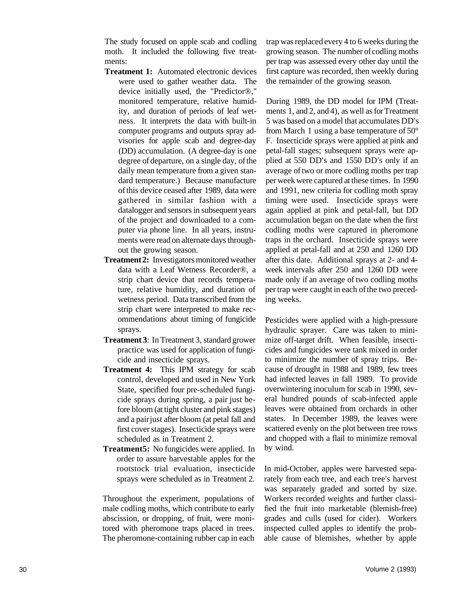The study focused on apple scab and codling moth. It included the following five treatments:

- **Treatment 1:** Automated electronic devices were used to gather weather data. The device initially used, the "Predictor®," monitored temperature, relative humidity, and duration of periods of leaf wetness. It interprets the data with built-in computer programs and outputs spray advisories for apple scab and degree-day (DD) accumulation. (A degree-day is one degree of departure, on a single day, of the daily mean temperature from a given standard temperature.) Because manufacture of this device ceased after 1989, data were gathered in similar fashion with a datalogger and sensors in subsequent years of the project and downloaded to a computer via phone line. In all years, instruments were read on alternate days throughout the growing season.
- **Treatment 2:** Investigators monitored weather data with a Leaf Wetness Recorder®, a strip chart device that records temperature, relative humidity, and duration of wetness period. Data transcribed from the strip chart were interpreted to make recommendations about timing of fungicide sprays.
- **Treatment 3**: In Treatment 3, standard grower practice was used for application of fungicide and insecticide sprays.
- **Treatment 4:** This IPM strategy for scab control, developed and used in New York State, specified four pre-scheduled fungicide sprays during spring, a pair just before bloom (at tight cluster and pink stages) and a pair just after bloom (at petal fall and first cover stages). Insecticide sprays were scheduled as in Treatment 2.
- **Treatment5:** No fungicides were applied. In order to assure harvestable apples for the rootstock trial evaluation, insecticide sprays were scheduled as in Treatment 2.

Throughout the experiment, populations of male codling moths, which contribute to early abscission, or dropping, of fruit, were monitored with pheromone traps placed in trees. The pheromone-containing rubber cap in each

trap was replaced every 4 to 6 weeks during the growing season. The number of codling moths per trap was assessed every other day until the first capture was recorded, then weekly during the remainder of the growing season.

During 1989, the DD model for IPM (Treatments 1, and 2, and 4), as well as for Treatment 5 was based on a model that accumulates DD's from March 1 using a base temperature of 50° F. Insecticide sprays were applied at pink and petal-fall stages; subsequent sprays were applied at 550 DD's and 1550 DD's only if an average of two or more codling moths per trap per week were captured at these times. In 1990 and 1991, new criteria for codling moth spray timing were used. Insecticide sprays were again applied at pink and petal-fall, but DD accumulation began on the date when the first codling moths were captured in pheromone traps in the orchard. Insecticide sprays were applied at petal-fall and at 250 and 1260 DD after this date. Additional sprays at 2- and 4 week intervals after 250 and 1260 DD were made only if an average of two codling moths per trap were caught in each of the two preceding weeks.

Pesticides were applied with a high-pressure hydraulic sprayer. Care was taken to minimize off-target drift. When feasible, insecticides and fungicides were tank mixed in order to minimize the number of spray trips. Because of drought in 1988 and 1989, few trees had infected leaves in fall 1989. To provide overwintering inoculum for scab in 1990, several hundred pounds of scab-infected apple leaves were obtained from orchards in other states. In December 1989, the leaves were scattered evenly on the plot between tree rows and chopped with a flail to minimize removal by wind.

In mid-October, apples were harvested separately from each tree, and each tree's harvest was separately graded and sorted by size. Workers recorded weights and further classified the fruit into marketable (blemish-free) grades and culls (used for cider). Workers inspected culled apples to identify the probable cause of blemishes, whether by apple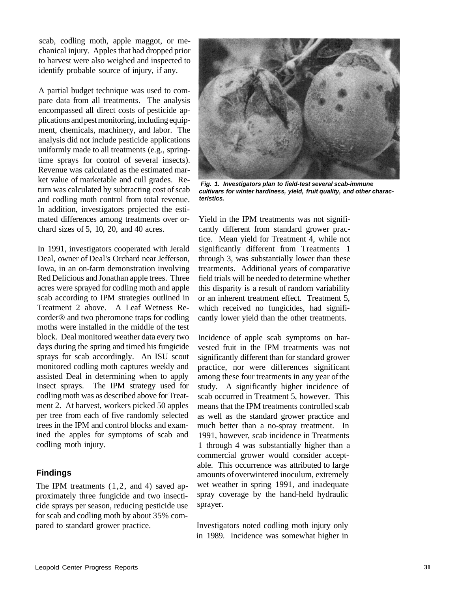scab, codling moth, apple maggot, or mechanical injury. Apples that had dropped prior to harvest were also weighed and inspected to identify probable source of injury, if any.

A partial budget technique was used to compare data from all treatments. The analysis encompassed all direct costs of pesticide applications and pest monitoring, including equipment, chemicals, machinery, and labor. The analysis did not include pesticide applications uniformly made to all treatments (e.g., springtime sprays for control of several insects). Revenue was calculated as the estimated market value of marketable and cull grades. Return was calculated by subtracting cost of scab and codling moth control from total revenue. In addition, investigators projected the estimated differences among treatments over orchard sizes of 5, 10, 20, and 40 acres.

In 1991, investigators cooperated with Jerald Deal, owner of Deal's Orchard near Jefferson, Iowa, in an on-farm demonstration involving Red Delicious and Jonathan apple trees. Three acres were sprayed for codling moth and apple scab according to IPM strategies outlined in Treatment 2 above. A Leaf Wetness Recorder® and two pheromone traps for codling moths were installed in the middle of the test block. Deal monitored weather data every two days during the spring and timed his fungicide sprays for scab accordingly. An ISU scout monitored codling moth captures weekly and assisted Deal in determining when to apply insect sprays. The IPM strategy used for codling moth was as described above for Treatment 2. At harvest, workers picked 50 apples per tree from each of five randomly selected trees in the IPM and control blocks and examined the apples for symptoms of scab and codling moth injury.

## **Findings**

The IPM treatments (1,2, and 4) saved approximately three fungicide and two insecticide sprays per season, reducing pesticide use for scab and codling moth by about 35% compared to standard grower practice.



**Fig. 1. Investigators plan to field-test several scab-immune cultivars for winter hardiness, yield, fruit quality, and other characteristics.** 

Yield in the IPM treatments was not significantly different from standard grower practice. Mean yield for Treatment 4, while not significantly different from Treatments 1 through 3, was substantially lower than these treatments. Additional years of comparative field trials will be needed to determine whether this disparity is a result of random variability or an inherent treatment effect. Treatment 5, which received no fungicides, had significantly lower yield than the other treatments.

Incidence of apple scab symptoms on harvested fruit in the IPM treatments was not significantly different than for standard grower practice, nor were differences significant among these four treatments in any year of the study. A significantly higher incidence of scab occurred in Treatment 5, however. This means that the IPM treatments controlled scab as well as the standard grower practice and much better than a no-spray treatment. In 1991, however, scab incidence in Treatments 1 through 4 was substantially higher than a commercial grower would consider acceptable. This occurrence was attributed to large amounts of overwintered inoculum, extremely wet weather in spring 1991, and inadequate spray coverage by the hand-held hydraulic sprayer.

Investigators noted codling moth injury only in 1989. Incidence was somewhat higher in